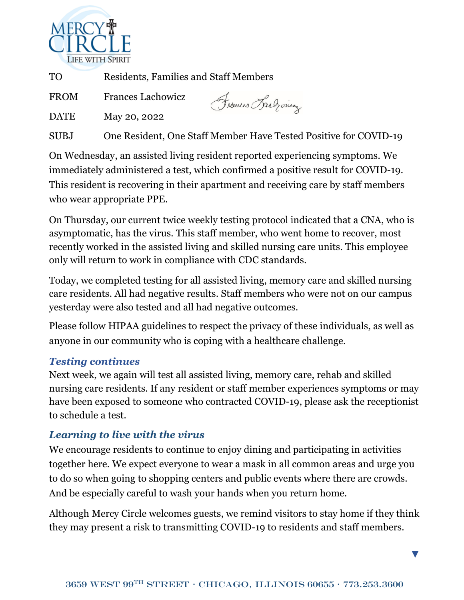

TO Residents, Families and Staff Members

FROM Frances Lachowicz

Frouces Lach ones

DATE May 20, 2022

SUBJ One Resident, One Staff Member Have Tested Positive for COVID-19

On Wednesday, an assisted living resident reported experiencing symptoms. We immediately administered a test, which confirmed a positive result for COVID-19. This resident is recovering in their apartment and receiving care by staff members who wear appropriate PPE.

On Thursday, our current twice weekly testing protocol indicated that a CNA, who is asymptomatic, has the virus. This staff member, who went home to recover, most recently worked in the assisted living and skilled nursing care units. This employee only will return to work in compliance with CDC standards.

Today, we completed testing for all assisted living, memory care and skilled nursing care residents. All had negative results. Staff members who were not on our campus yesterday were also tested and all had negative outcomes.

Please follow HIPAA guidelines to respect the privacy of these individuals, as well as anyone in our community who is coping with a healthcare challenge.

## *Testing continues*

Next week, we again will test all assisted living, memory care, rehab and skilled nursing care residents. If any resident or staff member experiences symptoms or may have been exposed to someone who contracted COVID-19, please ask the receptionist to schedule a test.

## *Learning to live with the virus*

We encourage residents to continue to enjoy dining and participating in activities together here. We expect everyone to wear a mask in all common areas and urge you to do so when going to shopping centers and public events where there are crowds. And be especially careful to wash your hands when you return home.

Although Mercy Circle welcomes guests, we remind visitors to stay home if they think they may present a risk to transmitting COVID-19 to residents and staff members.

▼